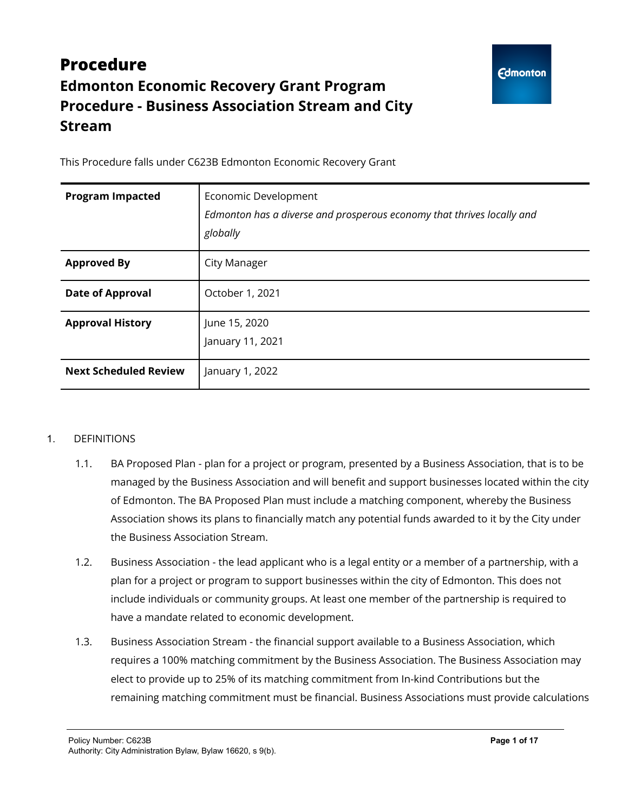# **Procedure Edmonton Economic Recovery Grant Program Procedure - Business Association Stream and City Stream**

This Procedure falls under C623B Edmonton Economic Recovery Grant

| <b>Program Impacted</b>      | Economic Development<br>Edmonton has a diverse and prosperous economy that thrives locally and<br>globally |
|------------------------------|------------------------------------------------------------------------------------------------------------|
| <b>Approved By</b>           | City Manager                                                                                               |
| <b>Date of Approval</b>      | October 1, 2021                                                                                            |
| <b>Approval History</b>      | June 15, 2020<br>January 11, 2021                                                                          |
| <b>Next Scheduled Review</b> | January 1, 2022                                                                                            |

#### 1. DEFINITIONS

- 1.1. BA Proposed Plan plan for a project or program, presented by a Business Association, that is to be managed by the Business Association and will benefit and support businesses located within the city of Edmonton. The BA Proposed Plan must include a matching component, whereby the Business Association shows its plans to financially match any potential funds awarded to it by the City under the Business Association Stream.
- 1.2. Business Association the lead applicant who is a legal entity or a member of a partnership, with a plan for a project or program to support businesses within the city of Edmonton. This does not include individuals or community groups. At least one member of the partnership is required to have a mandate related to economic development.
- 1.3. Business Association Stream the financial support available to a Business Association, which requires a 100% matching commitment by the Business Association. The Business Association may elect to provide up to 25% of its matching commitment from In-kind Contributions but the remaining matching commitment must be financial. Business Associations must provide calculations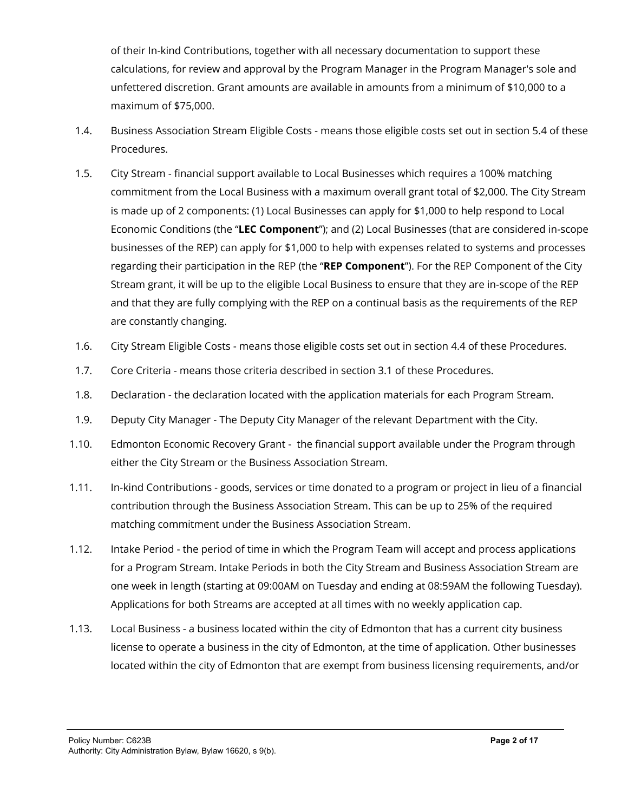of their In-kind Contributions, together with all necessary documentation to support these calculations, for review and approval by the Program Manager in the Program Manager's sole and unfettered discretion. Grant amounts are available in amounts from a minimum of \$10,000 to a maximum of \$75,000.

- 1.4. Business Association Stream Eligible Costs means those eligible costs set out in section 5.4 of these Procedures.
- 1.5. City Stream financial support available to Local Businesses which requires a 100% matching commitment from the Local Business with a maximum overall grant total of \$2,000. The City Stream is made up of 2 components: (1) Local Businesses can apply for \$1,000 to help respond to Local Economic Conditions (the "**LEC Component**"); and (2) Local Businesses (that are considered in-scope businesses of the REP) can apply for \$1,000 to help with expenses related to systems and processes regarding their participation in the REP (the "**REP Component**"). For the REP Component of the City Stream grant, it will be up to the eligible Local Business to ensure that they are in-scope of the REP and that they are fully complying with the REP on a continual basis as the requirements of the REP are constantly changing.
- 1.6. City Stream Eligible Costs means those eligible costs set out in section 4.4 of these Procedures.
- 1.7. Core Criteria means those criteria described in section 3.1 of these Procedures.
- 1.8. Declaration the declaration located with the application materials for each Program Stream.
- 1.9. Deputy City Manager The Deputy City Manager of the relevant Department with the City.
- 1.10. Edmonton Economic Recovery Grant the financial support available under the Program through either the City Stream or the Business Association Stream.
- 1.11. In-kind Contributions goods, services or time donated to a program or project in lieu of a financial contribution through the Business Association Stream. This can be up to 25% of the required matching commitment under the Business Association Stream.
- 1.12. Intake Period the period of time in which the Program Team will accept and process applications for a Program Stream. Intake Periods in both the City Stream and Business Association Stream are one week in length (starting at 09:00AM on Tuesday and ending at 08:59AM the following Tuesday). Applications for both Streams are accepted at all times with no weekly application cap.
- 1.13. Local Business a business located within the city of Edmonton that has a current city business license to operate a business in the city of Edmonton, at the time of application. Other businesses located within the city of Edmonton that are exempt from business licensing requirements, and/or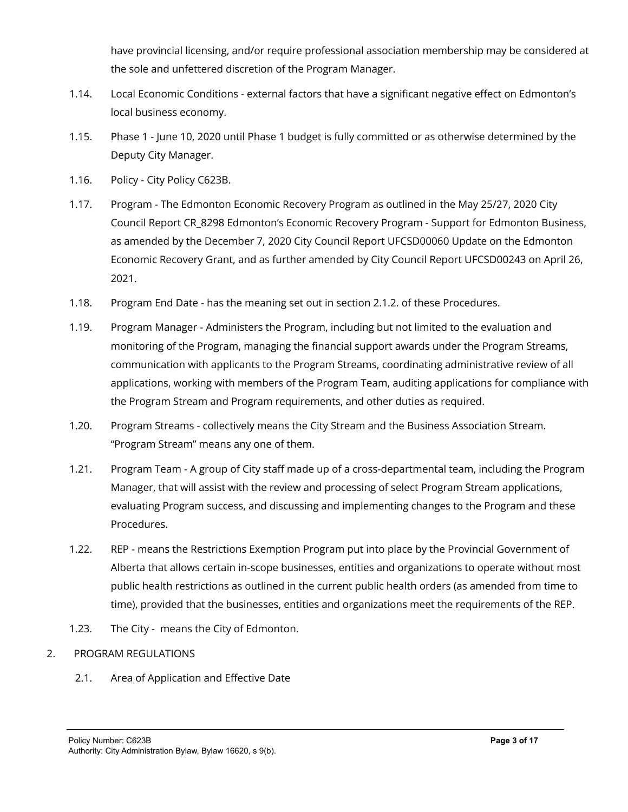have provincial licensing, and/or require professional association membership may be considered at the sole and unfettered discretion of the Program Manager.

- 1.14. Local Economic Conditions external factors that have a significant negative effect on Edmonton's local business economy.
- 1.15. Phase 1 June 10, 2020 until Phase 1 budget is fully committed or as otherwise determined by the Deputy City Manager.
- 1.16. Policy City Policy C623B.
- 1.17. Program The Edmonton Economic Recovery Program as outlined in the May 25/27, 2020 City Council Report CR\_8298 Edmonton's Economic Recovery Program - Support for Edmonton Business, as amended by the December 7, 2020 City Council Report UFCSD00060 Update on the Edmonton Economic Recovery Grant, and as further amended by City Council Report UFCSD00243 on April 26, 2021.
- 1.18. Program End Date has the meaning set out in section 2.1.2. of these Procedures.
- 1.19. Program Manager Administers the Program, including but not limited to the evaluation and monitoring of the Program, managing the financial support awards under the Program Streams, communication with applicants to the Program Streams, coordinating administrative review of all applications, working with members of the Program Team, auditing applications for compliance with the Program Stream and Program requirements, and other duties as required.
- 1.20. Program Streams collectively means the City Stream and the Business Association Stream. "Program Stream" means any one of them.
- 1.21. Program Team A group of City staff made up of a cross-departmental team, including the Program Manager, that will assist with the review and processing of select Program Stream applications, evaluating Program success, and discussing and implementing changes to the Program and these Procedures.
- 1.22. REP means the Restrictions Exemption Program put into place by the Provincial Government of Alberta that allows certain in-scope businesses, entities and organizations to operate without most public health restrictions as outlined in the current public health orders (as amended from time to time), provided that the businesses, entities and organizations meet the requirements of the REP.
- 1.23. The City means the City of Edmonton.
- 2. PROGRAM REGULATIONS
	- 2.1. Area of Application and Effective Date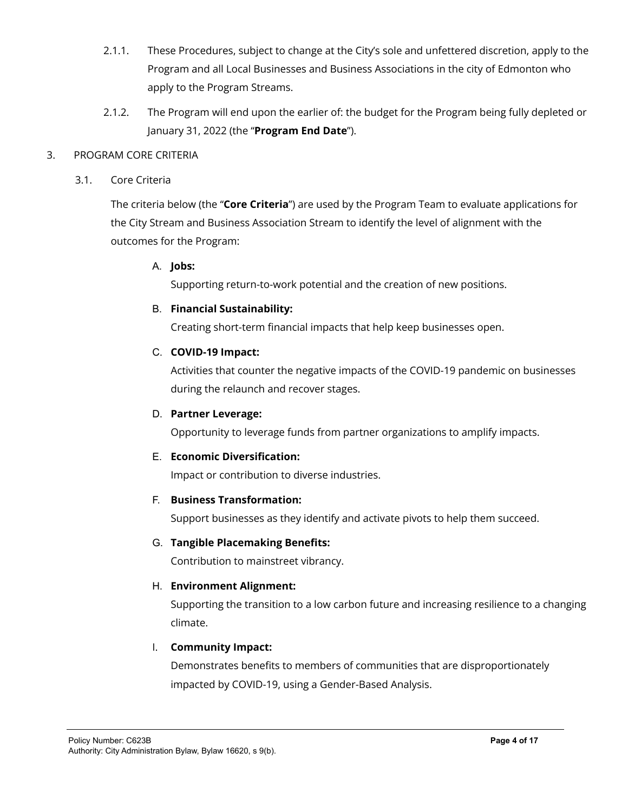- 2.1.1. These Procedures, subject to change at the City's sole and unfettered discretion, apply to the Program and all Local Businesses and Business Associations in the city of Edmonton who apply to the Program Streams.
- 2.1.2. The Program will end upon the earlier of: the budget for the Program being fully depleted or January 31, 2022 (the "**Program End Date**").

#### 3. PROGRAM CORE CRITERIA

3.1. Core Criteria

The criteria below (the "**Core Criteria**") are used by the Program Team to evaluate applications for the City Stream and Business Association Stream to identify the level of alignment with the outcomes for the Program:

#### A. **Jobs:**

Supporting return-to-work potential and the creation of new positions.

#### B. **Financial Sustainability:**

Creating short-term financial impacts that help keep businesses open.

### C. **COVID-19 Impact:**

Activities that counter the negative impacts of the COVID-19 pandemic on businesses during the relaunch and recover stages.

#### D. **Partner Leverage:**

Opportunity to leverage funds from partner organizations to amplify impacts.

#### E. **Economic Diversification:**

Impact or contribution to diverse industries.

#### F. **Business Transformation:**

Support businesses as they identify and activate pivots to help them succeed.

#### G. **Tangible Placemaking Benefits:**

Contribution to mainstreet vibrancy.

## H. **Environment Alignment:**

Supporting the transition to a low carbon future and increasing resilience to a changing climate.

## I. **Community Impact:**

Demonstrates benefits to members of communities that are disproportionately impacted by COVID-19, using a Gender-Based Analysis.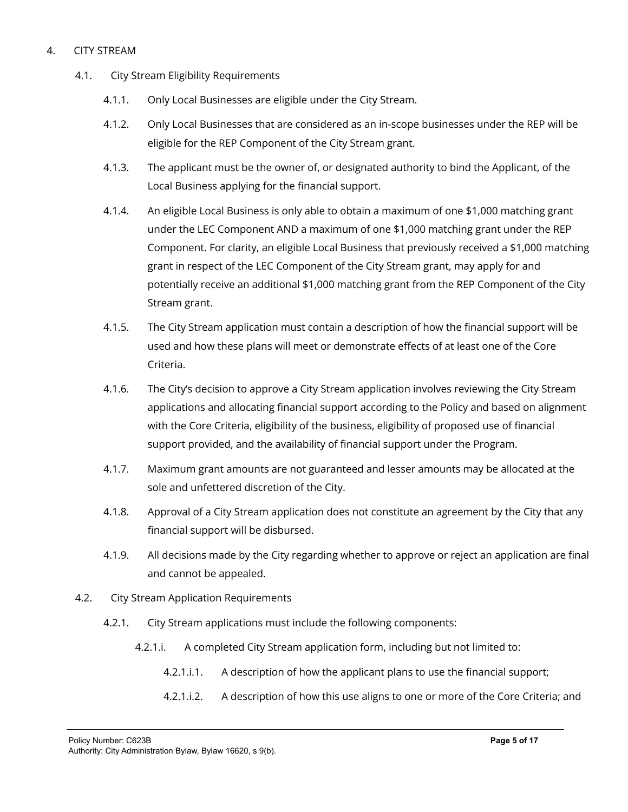#### 4. CITY STREAM

- 4.1. City Stream Eligibility Requirements
	- 4.1.1. Only Local Businesses are eligible under the City Stream.
	- 4.1.2. Only Local Businesses that are considered as an in-scope businesses under the REP will be eligible for the REP Component of the City Stream grant.
	- 4.1.3. The applicant must be the owner of, or designated authority to bind the Applicant, of the Local Business applying for the financial support.
	- 4.1.4. An eligible Local Business is only able to obtain a maximum of one \$1,000 matching grant under the LEC Component AND a maximum of one \$1,000 matching grant under the REP Component. For clarity, an eligible Local Business that previously received a \$1,000 matching grant in respect of the LEC Component of the City Stream grant, may apply for and potentially receive an additional \$1,000 matching grant from the REP Component of the City Stream grant.
	- 4.1.5. The City Stream application must contain a description of how the financial support will be used and how these plans will meet or demonstrate effects of at least one of the Core Criteria.
	- 4.1.6. The City's decision to approve a City Stream application involves reviewing the City Stream applications and allocating financial support according to the Policy and based on alignment with the Core Criteria, eligibility of the business, eligibility of proposed use of financial support provided, and the availability of financial support under the Program.
	- 4.1.7. Maximum grant amounts are not guaranteed and lesser amounts may be allocated at the sole and unfettered discretion of the City.
	- 4.1.8. Approval of a City Stream application does not constitute an agreement by the City that any financial support will be disbursed.
	- 4.1.9. All decisions made by the City regarding whether to approve or reject an application are final and cannot be appealed.
- 4.2. City Stream Application Requirements
	- 4.2.1. City Stream applications must include the following components:
		- 4.2.1.i. A completed City Stream application form, including but not limited to:
			- 4.2.1.i.1. A description of how the applicant plans to use the financial support;
			- 4.2.1.i.2. A description of how this use aligns to one or more of the Core Criteria; and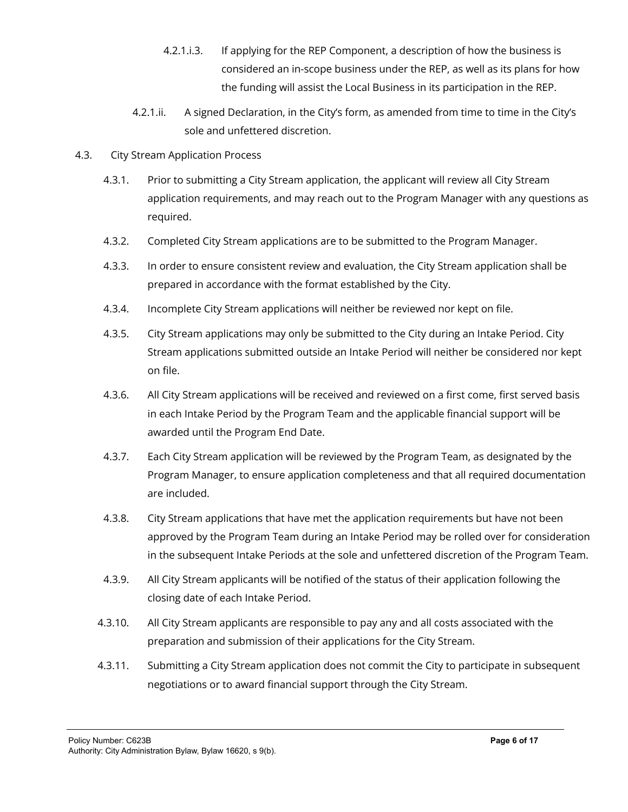- 4.2.1.i.3. If applying for the REP Component, a description of how the business is considered an in-scope business under the REP, as well as its plans for how the funding will assist the Local Business in its participation in the REP.
- 4.2.1.ii. A signed Declaration, in the City's form, as amended from time to time in the City's sole and unfettered discretion.
- 4.3. City Stream Application Process
	- 4.3.1. Prior to submitting a City Stream application, the applicant will review all City Stream application requirements, and may reach out to the Program Manager with any questions as required.
	- 4.3.2. Completed City Stream applications are to be submitted to the Program Manager.
	- 4.3.3. In order to ensure consistent review and evaluation, the City Stream application shall be prepared in accordance with the format established by the City.
	- 4.3.4. Incomplete City Stream applications will neither be reviewed nor kept on file.
	- 4.3.5. City Stream applications may only be submitted to the City during an Intake Period. City Stream applications submitted outside an Intake Period will neither be considered nor kept on file.
	- 4.3.6. All City Stream applications will be received and reviewed on a first come, first served basis in each Intake Period by the Program Team and the applicable financial support will be awarded until the Program End Date.
	- 4.3.7. Each City Stream application will be reviewed by the Program Team, as designated by the Program Manager, to ensure application completeness and that all required documentation are included.
	- 4.3.8. City Stream applications that have met the application requirements but have not been approved by the Program Team during an Intake Period may be rolled over for consideration in the subsequent Intake Periods at the sole and unfettered discretion of the Program Team.
	- 4.3.9. All City Stream applicants will be notified of the status of their application following the closing date of each Intake Period.
	- 4.3.10. All City Stream applicants are responsible to pay any and all costs associated with the preparation and submission of their applications for the City Stream.
	- 4.3.11. Submitting a City Stream application does not commit the City to participate in subsequent negotiations or to award financial support through the City Stream.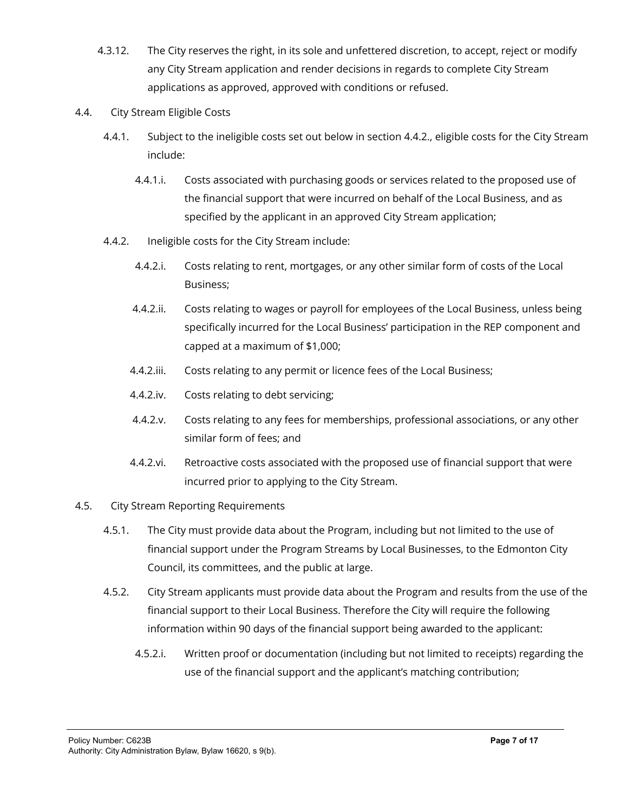- 4.3.12. The City reserves the right, in its sole and unfettered discretion, to accept, reject or modify any City Stream application and render decisions in regards to complete City Stream applications as approved, approved with conditions or refused.
- 4.4. City Stream Eligible Costs
	- 4.4.1. Subject to the ineligible costs set out below in section 4.4.2., eligible costs for the City Stream include:
		- 4.4.1.i. Costs associated with purchasing goods or services related to the proposed use of the financial support that were incurred on behalf of the Local Business, and as specified by the applicant in an approved City Stream application;
	- 4.4.2. Ineligible costs for the City Stream include:
		- 4.4.2.i. Costs relating to rent, mortgages, or any other similar form of costs of the Local Business;
		- 4.4.2.ii. Costs relating to wages or payroll for employees of the Local Business, unless being specifically incurred for the Local Business' participation in the REP component and capped at a maximum of \$1,000;
		- 4.4.2.iii. Costs relating to any permit or licence fees of the Local Business;
		- 4.4.2.iv. Costs relating to debt servicing;
		- 4.4.2.v. Costs relating to any fees for memberships, professional associations, or any other similar form of fees; and
		- 4.4.2.vi. Retroactive costs associated with the proposed use of financial support that were incurred prior to applying to the City Stream.
- 4.5. City Stream Reporting Requirements
	- 4.5.1. The City must provide data about the Program, including but not limited to the use of financial support under the Program Streams by Local Businesses, to the Edmonton City Council, its committees, and the public at large.
	- 4.5.2. City Stream applicants must provide data about the Program and results from the use of the financial support to their Local Business. Therefore the City will require the following information within 90 days of the financial support being awarded to the applicant:
		- 4.5.2.i. Written proof or documentation (including but not limited to receipts) regarding the use of the financial support and the applicant's matching contribution;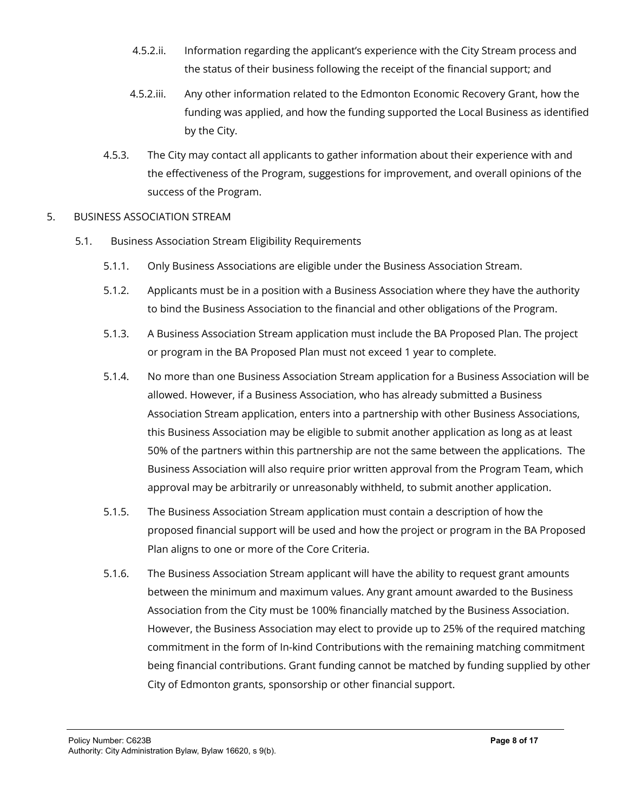- 4.5.2.ii. Information regarding the applicant's experience with the City Stream process and the status of their business following the receipt of the financial support; and
- 4.5.2.iii. Any other information related to the Edmonton Economic Recovery Grant, how the funding was applied, and how the funding supported the Local Business as identified by the City.
- 4.5.3. The City may contact all applicants to gather information about their experience with and the effectiveness of the Program, suggestions for improvement, and overall opinions of the success of the Program.

#### 5. BUSINESS ASSOCIATION STREAM

- 5.1. Business Association Stream Eligibility Requirements
	- 5.1.1. Only Business Associations are eligible under the Business Association Stream.
	- 5.1.2. Applicants must be in a position with a Business Association where they have the authority to bind the Business Association to the financial and other obligations of the Program.
	- 5.1.3. A Business Association Stream application must include the BA Proposed Plan. The project or program in the BA Proposed Plan must not exceed 1 year to complete.
	- 5.1.4. No more than one Business Association Stream application for a Business Association will be allowed. However, if a Business Association, who has already submitted a Business Association Stream application, enters into a partnership with other Business Associations, this Business Association may be eligible to submit another application as long as at least 50% of the partners within this partnership are not the same between the applications. The Business Association will also require prior written approval from the Program Team, which approval may be arbitrarily or unreasonably withheld, to submit another application.
	- 5.1.5. The Business Association Stream application must contain a description of how the proposed financial support will be used and how the project or program in the BA Proposed Plan aligns to one or more of the Core Criteria.
	- 5.1.6. The Business Association Stream applicant will have the ability to request grant amounts between the minimum and maximum values. Any grant amount awarded to the Business Association from the City must be 100% financially matched by the Business Association. However, the Business Association may elect to provide up to 25% of the required matching commitment in the form of In-kind Contributions with the remaining matching commitment being financial contributions. Grant funding cannot be matched by funding supplied by other City of Edmonton grants, sponsorship or other financial support.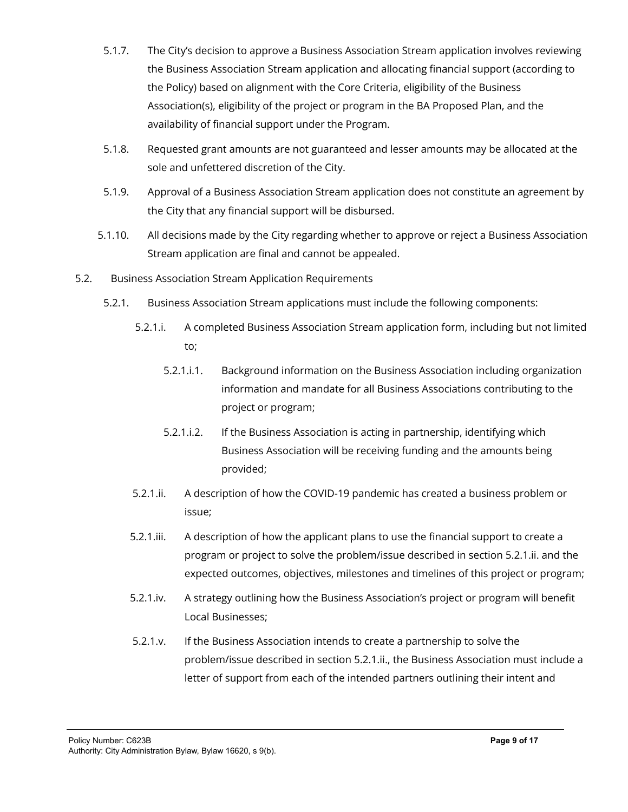- 5.1.7. The City's decision to approve a Business Association Stream application involves reviewing the Business Association Stream application and allocating financial support (according to the Policy) based on alignment with the Core Criteria, eligibility of the Business Association(s), eligibility of the project or program in the BA Proposed Plan, and the availability of financial support under the Program.
- 5.1.8. Requested grant amounts are not guaranteed and lesser amounts may be allocated at the sole and unfettered discretion of the City.
- 5.1.9. Approval of a Business Association Stream application does not constitute an agreement by the City that any financial support will be disbursed.
- 5.1.10. All decisions made by the City regarding whether to approve or reject a Business Association Stream application are final and cannot be appealed.
- 5.2. Business Association Stream Application Requirements
	- 5.2.1. Business Association Stream applications must include the following components:
		- 5.2.1.i. A completed Business Association Stream application form, including but not limited to;
			- 5.2.1.i.1. Background information on the Business Association including organization information and mandate for all Business Associations contributing to the project or program;
			- 5.2.1.i.2. If the Business Association is acting in partnership, identifying which Business Association will be receiving funding and the amounts being provided;
		- 5.2.1.ii. A description of how the COVID-19 pandemic has created a business problem or issue;
		- 5.2.1.iii. A description of how the applicant plans to use the financial support to create a program or project to solve the problem/issue described in section 5.2.1.ii. and the expected outcomes, objectives, milestones and timelines of this project or program;
		- 5.2.1.iv. A strategy outlining how the Business Association's project or program will benefit Local Businesses;
		- 5.2.1.v. If the Business Association intends to create a partnership to solve the problem/issue described in section 5.2.1.ii., the Business Association must include a letter of support from each of the intended partners outlining their intent and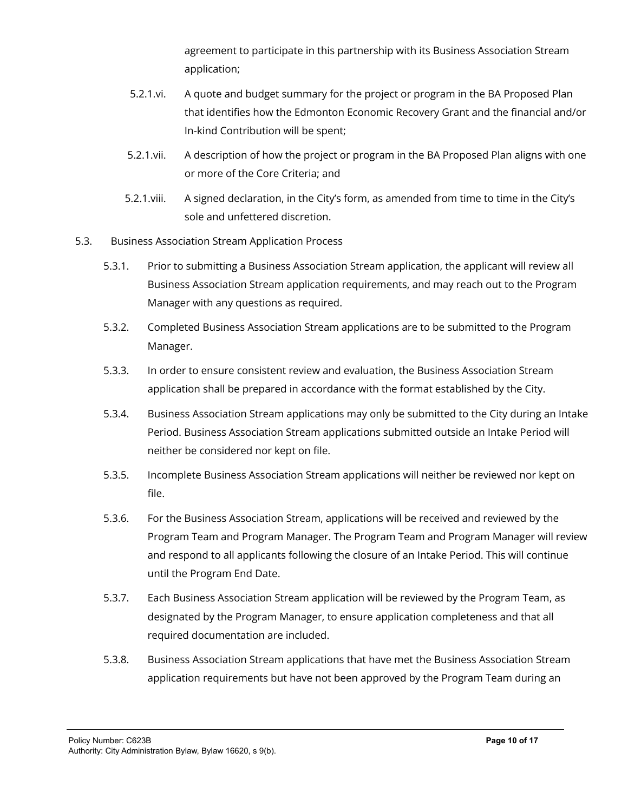agreement to participate in this partnership with its Business Association Stream application;

- 5.2.1.vi. A quote and budget summary for the project or program in the BA Proposed Plan that identifies how the Edmonton Economic Recovery Grant and the financial and/or In-kind Contribution will be spent;
- 5.2.1.vii. A description of how the project or program in the BA Proposed Plan aligns with one or more of the Core Criteria; and
- 5.2.1.viii. A signed declaration, in the City's form, as amended from time to time in the City's sole and unfettered discretion.
- 5.3. Business Association Stream Application Process
	- 5.3.1. Prior to submitting a Business Association Stream application, the applicant will review all Business Association Stream application requirements, and may reach out to the Program Manager with any questions as required.
	- 5.3.2. Completed Business Association Stream applications are to be submitted to the Program Manager.
	- 5.3.3. In order to ensure consistent review and evaluation, the Business Association Stream application shall be prepared in accordance with the format established by the City.
	- 5.3.4. Business Association Stream applications may only be submitted to the City during an Intake Period. Business Association Stream applications submitted outside an Intake Period will neither be considered nor kept on file.
	- 5.3.5. Incomplete Business Association Stream applications will neither be reviewed nor kept on file.
	- 5.3.6. For the Business Association Stream, applications will be received and reviewed by the Program Team and Program Manager. The Program Team and Program Manager will review and respond to all applicants following the closure of an Intake Period. This will continue until the Program End Date.
	- 5.3.7. Each Business Association Stream application will be reviewed by the Program Team, as designated by the Program Manager, to ensure application completeness and that all required documentation are included.
	- 5.3.8. Business Association Stream applications that have met the Business Association Stream application requirements but have not been approved by the Program Team during an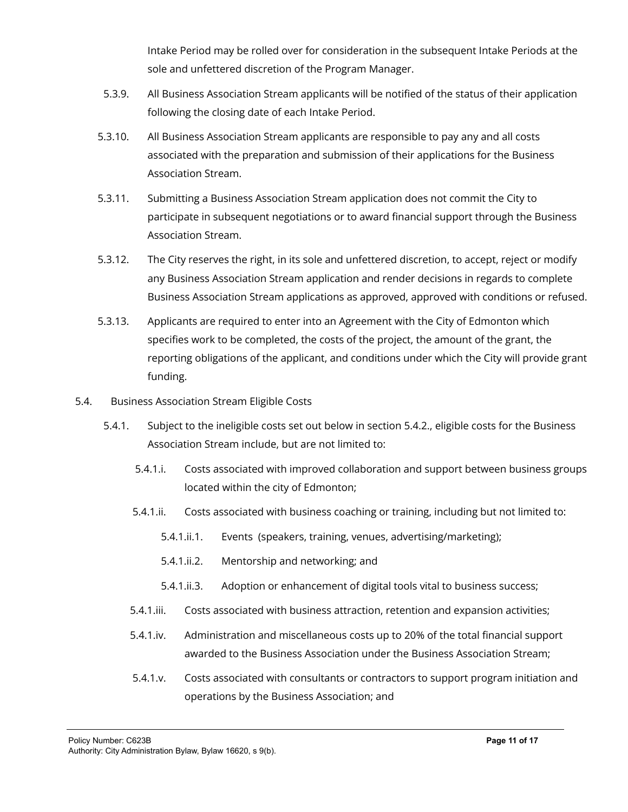Intake Period may be rolled over for consideration in the subsequent Intake Periods at the sole and unfettered discretion of the Program Manager.

- 5.3.9. All Business Association Stream applicants will be notified of the status of their application following the closing date of each Intake Period.
- 5.3.10. All Business Association Stream applicants are responsible to pay any and all costs associated with the preparation and submission of their applications for the Business Association Stream.
- 5.3.11. Submitting a Business Association Stream application does not commit the City to participate in subsequent negotiations or to award financial support through the Business Association Stream.
- 5.3.12. The City reserves the right, in its sole and unfettered discretion, to accept, reject or modify any Business Association Stream application and render decisions in regards to complete Business Association Stream applications as approved, approved with conditions or refused.
- 5.3.13. Applicants are required to enter into an Agreement with the City of Edmonton which specifies work to be completed, the costs of the project, the amount of the grant, the reporting obligations of the applicant, and conditions under which the City will provide grant funding.
- 5.4. Business Association Stream Eligible Costs
	- 5.4.1. Subject to the ineligible costs set out below in section 5.4.2., eligible costs for the Business Association Stream include, but are not limited to:
		- 5.4.1.i. Costs associated with improved collaboration and support between business groups located within the city of Edmonton;
		- 5.4.1.ii. Costs associated with business coaching or training, including but not limited to:
			- 5.4.1.ii.1. Events (speakers, training, venues, advertising/marketing);
			- 5.4.1.ii.2. Mentorship and networking; and
			- 5.4.1.ii.3. Adoption or enhancement of digital tools vital to business success;
		- 5.4.1.iii. Costs associated with business attraction, retention and expansion activities;
		- 5.4.1.iv. Administration and miscellaneous costs up to 20% of the total financial support awarded to the Business Association under the Business Association Stream;
		- 5.4.1.v. Costs associated with consultants or contractors to support program initiation and operations by the Business Association; and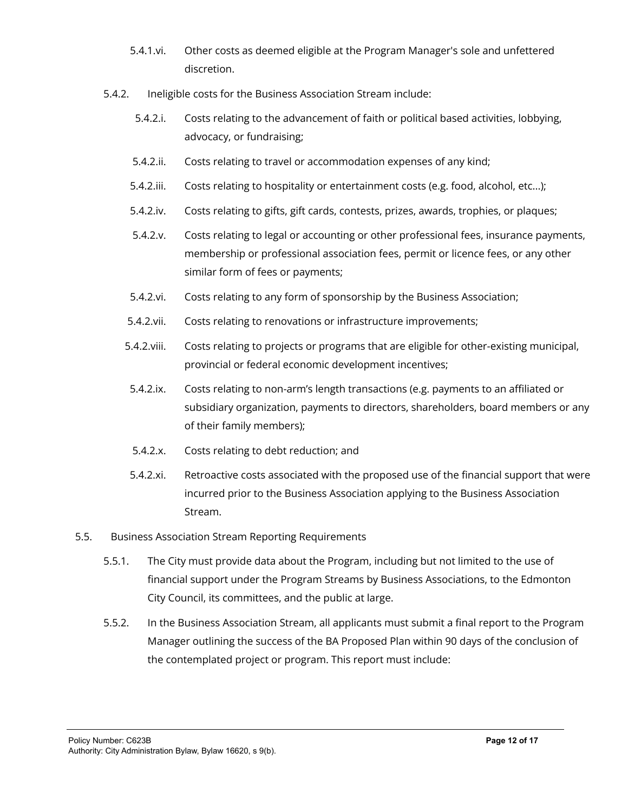- 5.4.1.vi. Other costs as deemed eligible at the Program Manager's sole and unfettered discretion.
- 5.4.2. Ineligible costs for the Business Association Stream include:
	- 5.4.2.i. Costs relating to the advancement of faith or political based activities, lobbying, advocacy, or fundraising;
	- 5.4.2.ii. Costs relating to travel or accommodation expenses of any kind;
	- 5.4.2.iii. Costs relating to hospitality or entertainment costs (e.g. food, alcohol, etc...);
	- 5.4.2.iv. Costs relating to gifts, gift cards, contests, prizes, awards, trophies, or plaques;
	- 5.4.2.v. Costs relating to legal or accounting or other professional fees, insurance payments, membership or professional association fees, permit or licence fees, or any other similar form of fees or payments;
	- 5.4.2.vi. Costs relating to any form of sponsorship by the Business Association;
	- 5.4.2.vii. Costs relating to renovations or infrastructure improvements;
	- 5.4.2.viii. Costs relating to projects or programs that are eligible for other-existing municipal, provincial or federal economic development incentives;
	- 5.4.2.ix. Costs relating to non-arm's length transactions (e.g. payments to an affiliated or subsidiary organization, payments to directors, shareholders, board members or any of their family members);
	- 5.4.2.x. Costs relating to debt reduction; and
	- 5.4.2.xi. Retroactive costs associated with the proposed use of the financial support that were incurred prior to the Business Association applying to the Business Association Stream.
- 5.5. Business Association Stream Reporting Requirements
	- 5.5.1. The City must provide data about the Program, including but not limited to the use of financial support under the Program Streams by Business Associations, to the Edmonton City Council, its committees, and the public at large.
	- 5.5.2. In the Business Association Stream, all applicants must submit a final report to the Program Manager outlining the success of the BA Proposed Plan within 90 days of the conclusion of the contemplated project or program. This report must include: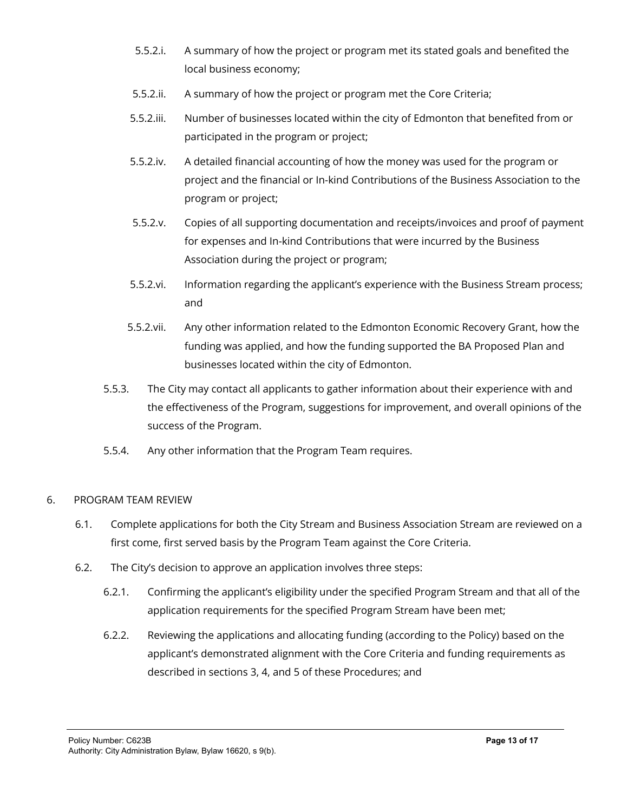- 5.5.2.i. A summary of how the project or program met its stated goals and benefited the local business economy;
- 5.5.2.ii. A summary of how the project or program met the Core Criteria;
- 5.5.2.iii. Number of businesses located within the city of Edmonton that benefited from or participated in the program or project;
- 5.5.2.iv. A detailed financial accounting of how the money was used for the program or project and the financial or In-kind Contributions of the Business Association to the program or project;
- 5.5.2.v. Copies of all supporting documentation and receipts/invoices and proof of payment for expenses and In-kind Contributions that were incurred by the Business Association during the project or program;
- 5.5.2.vi. Information regarding the applicant's experience with the Business Stream process; and
- 5.5.2.vii. Any other information related to the Edmonton Economic Recovery Grant, how the funding was applied, and how the funding supported the BA Proposed Plan and businesses located within the city of Edmonton.
- 5.5.3. The City may contact all applicants to gather information about their experience with and the effectiveness of the Program, suggestions for improvement, and overall opinions of the success of the Program.
- 5.5.4. Any other information that the Program Team requires.

#### 6. PROGRAM TEAM REVIEW

- 6.1. Complete applications for both the City Stream and Business Association Stream are reviewed on a first come, first served basis by the Program Team against the Core Criteria.
- 6.2. The City's decision to approve an application involves three steps:
	- 6.2.1. Confirming the applicant's eligibility under the specified Program Stream and that all of the application requirements for the specified Program Stream have been met;
	- 6.2.2. Reviewing the applications and allocating funding (according to the Policy) based on the applicant's demonstrated alignment with the Core Criteria and funding requirements as described in sections 3, 4, and 5 of these Procedures; and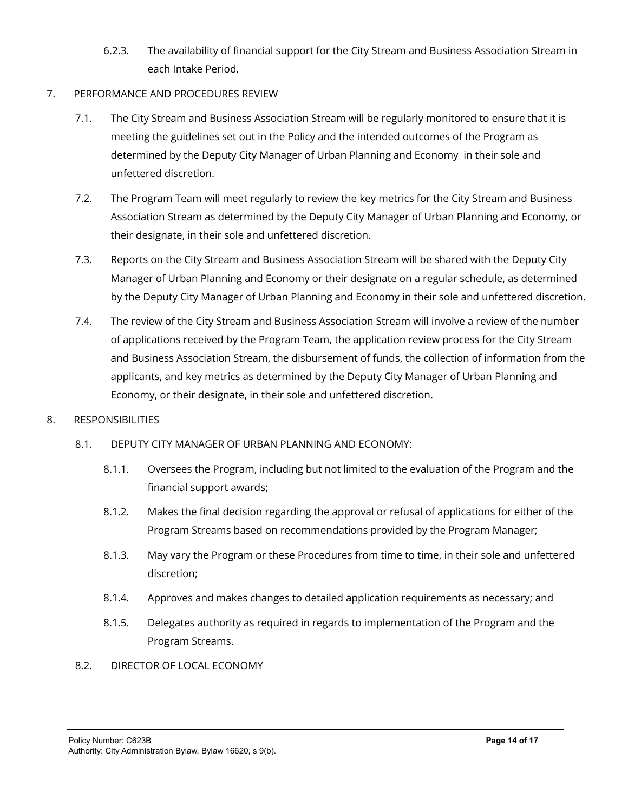- 6.2.3. The availability of financial support for the City Stream and Business Association Stream in each Intake Period.
- 7. PERFORMANCE AND PROCEDURES REVIEW
	- 7.1. The City Stream and Business Association Stream will be regularly monitored to ensure that it is meeting the guidelines set out in the Policy and the intended outcomes of the Program as determined by the Deputy City Manager of Urban Planning and Economy in their sole and unfettered discretion.
	- 7.2. The Program Team will meet regularly to review the key metrics for the City Stream and Business Association Stream as determined by the Deputy City Manager of Urban Planning and Economy, or their designate, in their sole and unfettered discretion.
	- 7.3. Reports on the City Stream and Business Association Stream will be shared with the Deputy City Manager of Urban Planning and Economy or their designate on a regular schedule, as determined by the Deputy City Manager of Urban Planning and Economy in their sole and unfettered discretion.
	- 7.4. The review of the City Stream and Business Association Stream will involve a review of the number of applications received by the Program Team, the application review process for the City Stream and Business Association Stream, the disbursement of funds, the collection of information from the applicants, and key metrics as determined by the Deputy City Manager of Urban Planning and Economy, or their designate, in their sole and unfettered discretion.
- 8. RESPONSIBILITIES
	- 8.1. DEPUTY CITY MANAGER OF URBAN PLANNING AND ECONOMY:
		- 8.1.1. Oversees the Program, including but not limited to the evaluation of the Program and the financial support awards;
		- 8.1.2. Makes the final decision regarding the approval or refusal of applications for either of the Program Streams based on recommendations provided by the Program Manager;
		- 8.1.3. May vary the Program or these Procedures from time to time, in their sole and unfettered discretion;
		- 8.1.4. Approves and makes changes to detailed application requirements as necessary; and
		- 8.1.5. Delegates authority as required in regards to implementation of the Program and the Program Streams.
	- 8.2. DIRECTOR OF LOCAL ECONOMY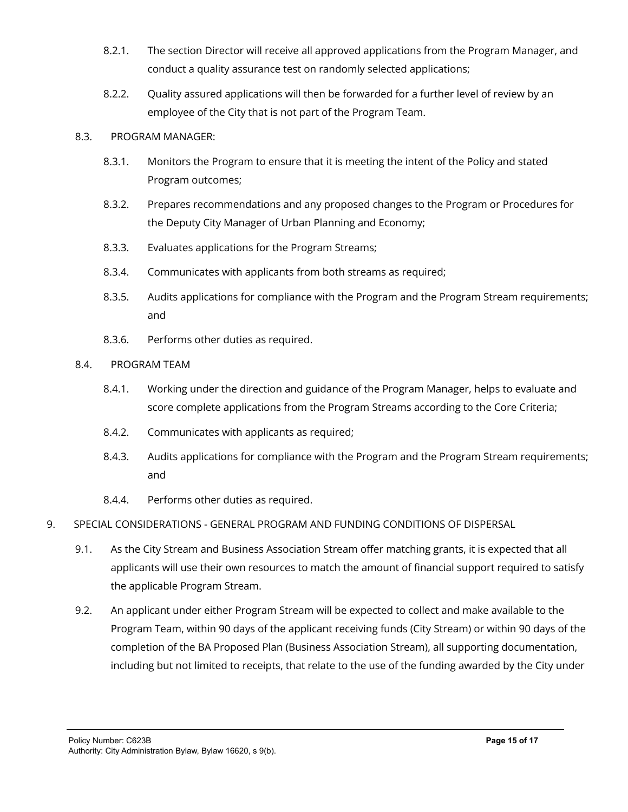- 8.2.1. The section Director will receive all approved applications from the Program Manager, and conduct a quality assurance test on randomly selected applications;
- 8.2.2. Quality assured applications will then be forwarded for a further level of review by an employee of the City that is not part of the Program Team.

#### 8.3. PROGRAM MANAGER:

- 8.3.1. Monitors the Program to ensure that it is meeting the intent of the Policy and stated Program outcomes;
- 8.3.2. Prepares recommendations and any proposed changes to the Program or Procedures for the Deputy City Manager of Urban Planning and Economy;
- 8.3.3. Evaluates applications for the Program Streams;
- 8.3.4. Communicates with applicants from both streams as required;
- 8.3.5. Audits applications for compliance with the Program and the Program Stream requirements; and
- 8.3.6. Performs other duties as required.
- 8.4. PROGRAM TEAM
	- 8.4.1. Working under the direction and guidance of the Program Manager, helps to evaluate and score complete applications from the Program Streams according to the Core Criteria;
	- 8.4.2. Communicates with applicants as required;
	- 8.4.3. Audits applications for compliance with the Program and the Program Stream requirements; and
	- 8.4.4. Performs other duties as required.
- 9. SPECIAL CONSIDERATIONS GENERAL PROGRAM AND FUNDING CONDITIONS OF DISPERSAL
	- 9.1. As the City Stream and Business Association Stream offer matching grants, it is expected that all applicants will use their own resources to match the amount of financial support required to satisfy the applicable Program Stream.
	- 9.2. An applicant under either Program Stream will be expected to collect and make available to the Program Team, within 90 days of the applicant receiving funds (City Stream) or within 90 days of the completion of the BA Proposed Plan (Business Association Stream), all supporting documentation, including but not limited to receipts, that relate to the use of the funding awarded by the City under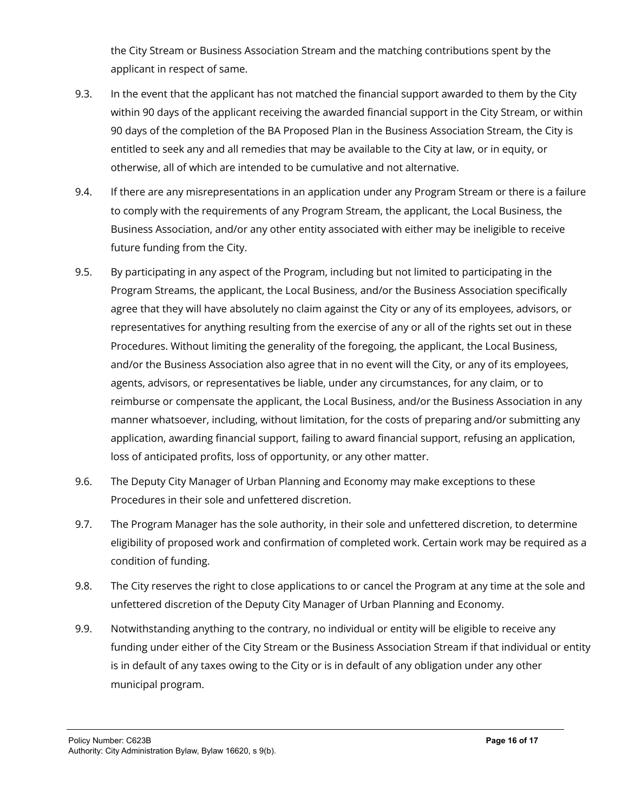the City Stream or Business Association Stream and the matching contributions spent by the applicant in respect of same.

- 9.3. In the event that the applicant has not matched the financial support awarded to them by the City within 90 days of the applicant receiving the awarded financial support in the City Stream, or within 90 days of the completion of the BA Proposed Plan in the Business Association Stream, the City is entitled to seek any and all remedies that may be available to the City at law, or in equity, or otherwise, all of which are intended to be cumulative and not alternative.
- 9.4. If there are any misrepresentations in an application under any Program Stream or there is a failure to comply with the requirements of any Program Stream, the applicant, the Local Business, the Business Association, and/or any other entity associated with either may be ineligible to receive future funding from the City.
- 9.5. By participating in any aspect of the Program, including but not limited to participating in the Program Streams, the applicant, the Local Business, and/or the Business Association specifically agree that they will have absolutely no claim against the City or any of its employees, advisors, or representatives for anything resulting from the exercise of any or all of the rights set out in these Procedures. Without limiting the generality of the foregoing, the applicant, the Local Business, and/or the Business Association also agree that in no event will the City, or any of its employees, agents, advisors, or representatives be liable, under any circumstances, for any claim, or to reimburse or compensate the applicant, the Local Business, and/or the Business Association in any manner whatsoever, including, without limitation, for the costs of preparing and/or submitting any application, awarding financial support, failing to award financial support, refusing an application, loss of anticipated profits, loss of opportunity, or any other matter.
- 9.6. The Deputy City Manager of Urban Planning and Economy may make exceptions to these Procedures in their sole and unfettered discretion.
- 9.7. The Program Manager has the sole authority, in their sole and unfettered discretion, to determine eligibility of proposed work and confirmation of completed work. Certain work may be required as a condition of funding.
- 9.8. The City reserves the right to close applications to or cancel the Program at any time at the sole and unfettered discretion of the Deputy City Manager of Urban Planning and Economy.
- 9.9. Notwithstanding anything to the contrary, no individual or entity will be eligible to receive any funding under either of the City Stream or the Business Association Stream if that individual or entity is in default of any taxes owing to the City or is in default of any obligation under any other municipal program.